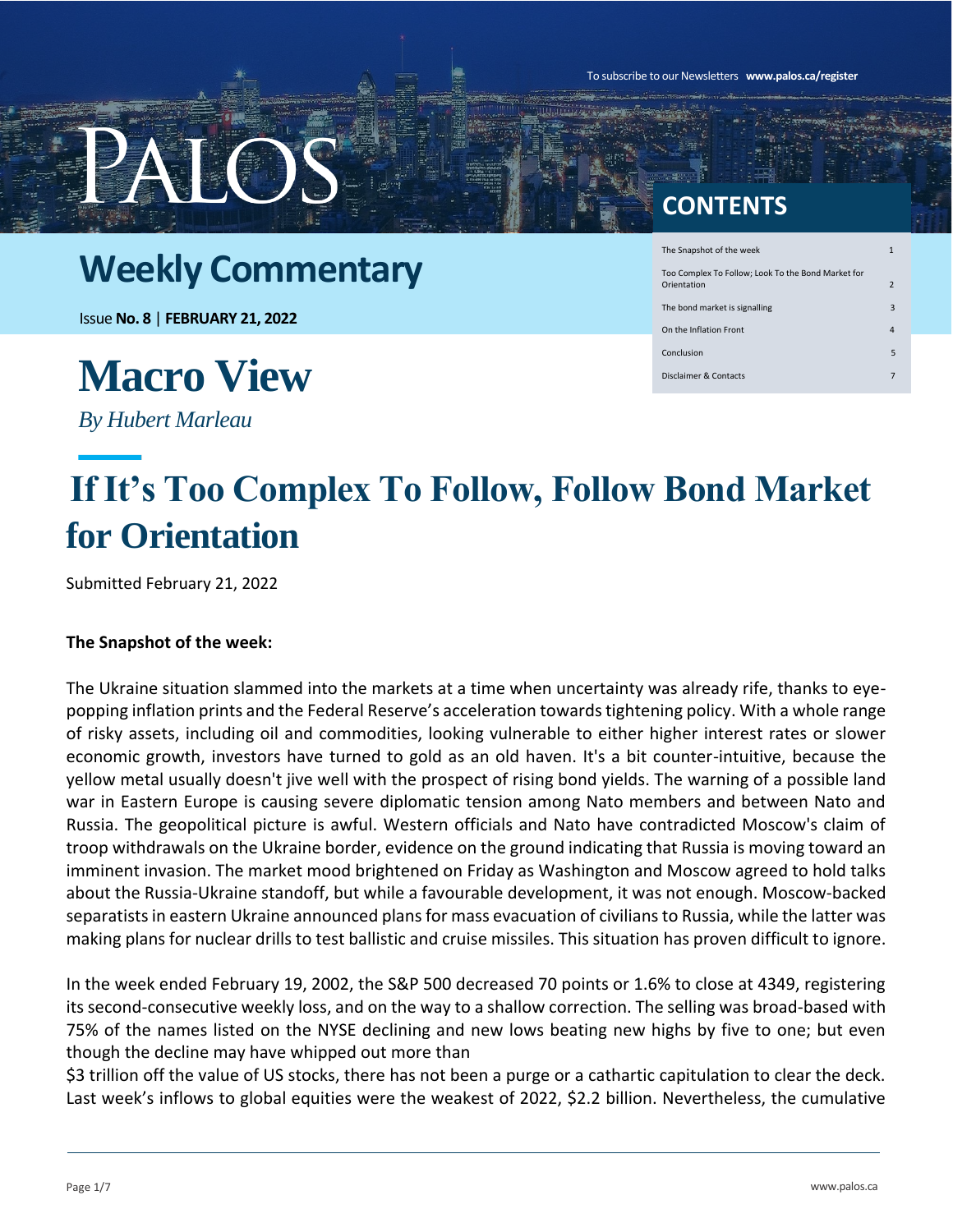# 

To subscribe to our Newsletters **www.palos.ca/register**

#### **CONTENTS**

### **Weekly Commentary**

Issue **No. 8** | **FEBRUARY 21, 2022**

### **Macro View**

*By Hubert Marleau*

The Snapshot of the week

| Too Complex To Follow; Look To the Bond Market for<br>Orientation | $\overline{2}$ |
|-------------------------------------------------------------------|----------------|
| The bond market is signalling                                     | $\mathbf{R}$   |
| On the Inflation Front                                            | 4              |
| Conclusion                                                        | 5              |
| Disclaimer & Contacts                                             |                |

### **If It's Too Complex To Follow, Follow Bond Market for Orientation**

Submitted February 21, 2022

#### **The Snapshot of the week:**

The Ukraine situation slammed into the markets at a time when uncertainty was already rife, thanks to eyepopping inflation prints and the Federal Reserve's acceleration towards tightening policy. With a whole range of risky assets, including oil and commodities, looking vulnerable to either higher interest rates or slower economic growth, investors have turned to gold as an old haven. It's a bit counter-intuitive, because the yellow metal usually doesn't jive well with the prospect of rising bond yields. The warning of a possible land war in Eastern Europe is causing severe diplomatic tension among Nato members and between Nato and Russia. The geopolitical picture is awful. Western officials and Nato have contradicted Moscow's claim of troop withdrawals on the Ukraine border, evidence on the ground indicating that Russia is moving toward an imminent invasion. The market mood brightened on Friday as Washington and Moscow agreed to hold talks about the Russia-Ukraine standoff, but while a favourable development, it was not enough. Moscow-backed separatists in eastern Ukraine announced plans for mass evacuation of civilians to Russia, while the latter was making plans for nuclear drills to test ballistic and cruise missiles. This situation has proven difficult to ignore.

In the week ended February 19, 2002, the S&P 500 decreased 70 points or 1.6% to close at 4349, registering its second-consecutive weekly loss, and on the way to a shallow correction. The selling was broad-based with 75% of the names listed on the NYSE declining and new lows beating new highs by five to one; but even though the decline may have whipped out more than

\$3 trillion off the value of US stocks, there has not been a purge or a cathartic capitulation to clear the deck. Last week's inflows to global equities were the weakest of 2022, \$2.2 billion. Nevertheless, the cumulative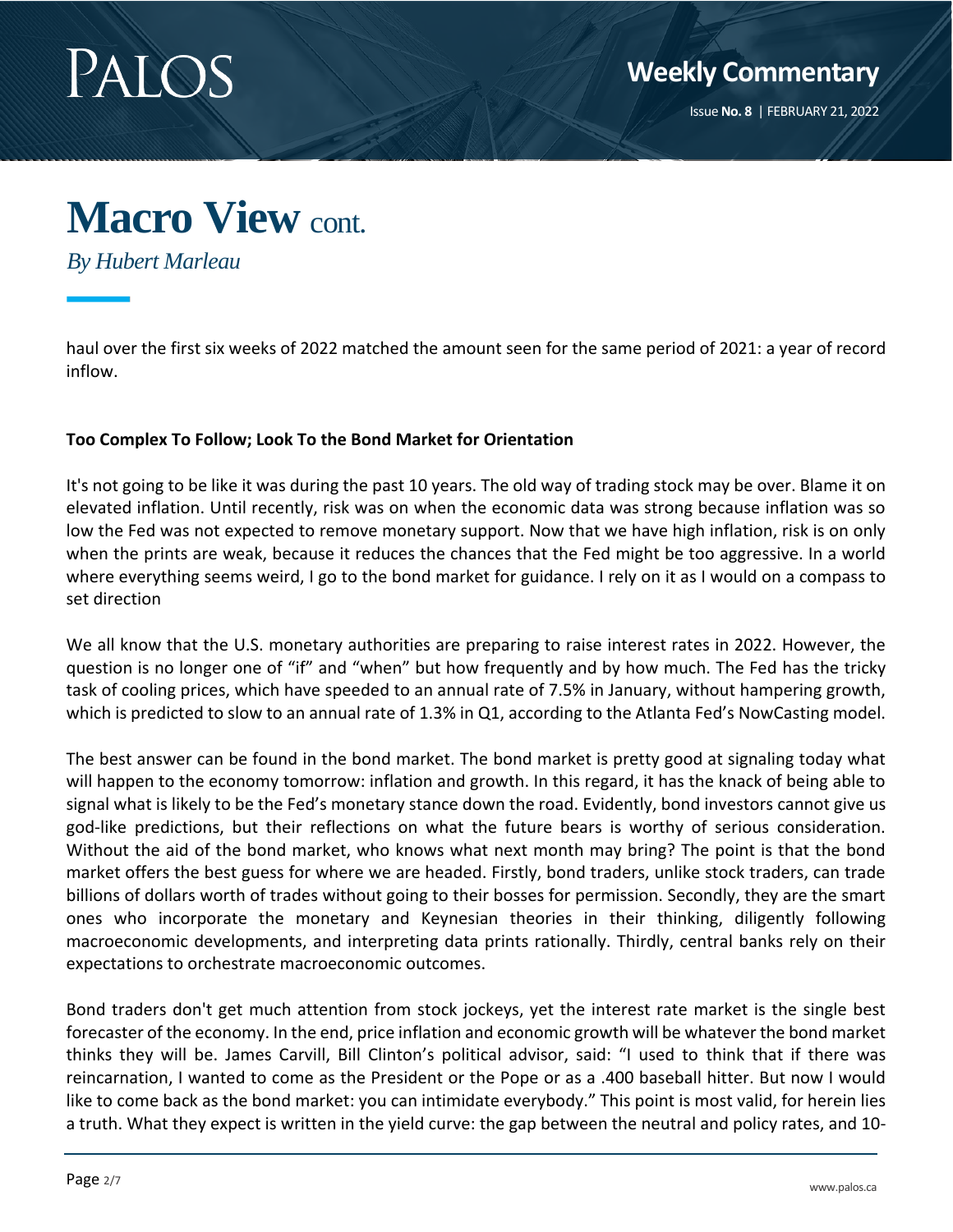

*By Hubert Marleau*

haul over the first six weeks of 2022 matched the amount seen for the same period of 2021: a year of record inflow.

#### **Too Complex To Follow; Look To the Bond Market for Orientation**

It's not going to be like it was during the past 10 years. The old way of trading stock may be over. Blame it on elevated inflation. Until recently, risk was on when the economic data was strong because inflation was so low the Fed was not expected to remove monetary support. Now that we have high inflation, risk is on only when the prints are weak, because it reduces the chances that the Fed might be too aggressive. In a world where everything seems weird, I go to the bond market for guidance. I rely on it as I would on a compass to set direction

We all know that the U.S. monetary authorities are preparing to raise interest rates in 2022. However, the question is no longer one of "if" and "when" but how frequently and by how much. The Fed has the tricky task of cooling prices, which have speeded to an annual rate of 7.5% in January, without hampering growth, which is predicted to slow to an annual rate of 1.3% in Q1, according to the Atlanta Fed's NowCasting model.

The best answer can be found in the bond market. The bond market is pretty good at signaling today what will happen to the economy tomorrow: inflation and growth. In this regard, it has the knack of being able to signal what is likely to be the Fed's monetary stance down the road. Evidently, bond investors cannot give us god-like predictions, but their reflections on what the future bears is worthy of serious consideration. Without the aid of the bond market, who knows what next month may bring? The point is that the bond market offers the best guess for where we are headed. Firstly, bond traders, unlike stock traders, can trade billions of dollars worth of trades without going to their bosses for permission. Secondly, they are the smart ones who incorporate the monetary and Keynesian theories in their thinking, diligently following macroeconomic developments, and interpreting data prints rationally. Thirdly, central banks rely on their expectations to orchestrate macroeconomic outcomes.

Bond traders don't get much attention from stock jockeys, yet the interest rate market is the single best forecaster of the economy. In the end, price inflation and economic growth will be whatever the bond market thinks they will be. James Carvill, Bill Clinton's political advisor, said: "I used to think that if there was reincarnation, I wanted to come as the President or the Pope or as a .400 baseball hitter. But now I would like to come back as the bond market: you can intimidate everybody." This point is most valid, for herein lies a truth. What they expect is written in the yield curve: the gap between the neutral and policy rates, and 10-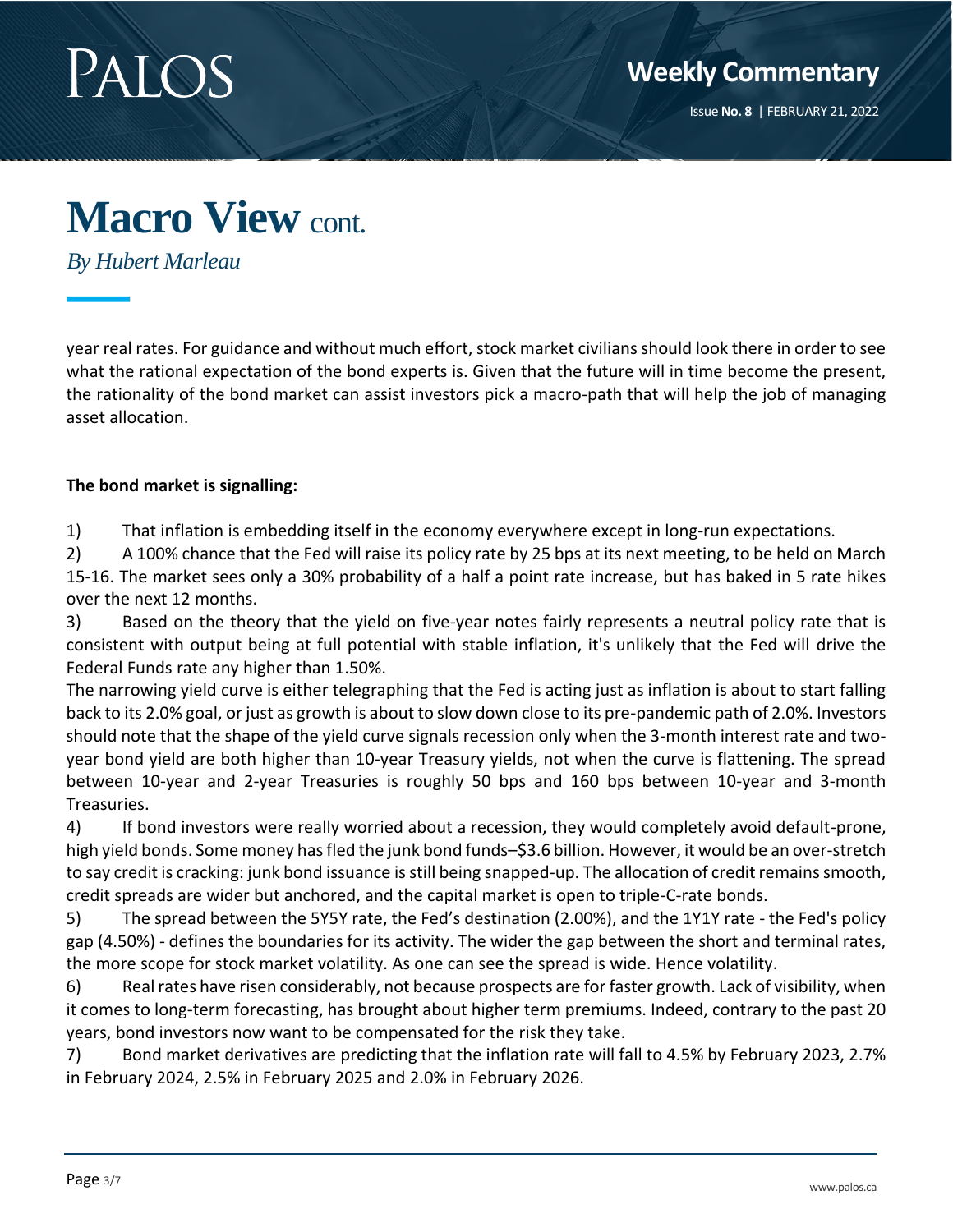

*By Hubert Marleau*

year real rates. For guidance and without much effort, stock market civilians should look there in order to see what the rational expectation of the bond experts is. Given that the future will in time become the present, the rationality of the bond market can assist investors pick a macro-path that will help the job of managing asset allocation.

#### **The bond market is signalling:**

1) That inflation is embedding itself in the economy everywhere except in long-run expectations.

2) A 100% chance that the Fed will raise its policy rate by 25 bps at its next meeting, to be held on March 15-16. The market sees only a 30% probability of a half a point rate increase, but has baked in 5 rate hikes over the next 12 months.

3) Based on the theory that the yield on five-year notes fairly represents a neutral policy rate that is consistent with output being at full potential with stable inflation, it's unlikely that the Fed will drive the Federal Funds rate any higher than 1.50%.

The narrowing yield curve is either telegraphing that the Fed is acting just as inflation is about to start falling back to its 2.0% goal, or just as growth is about to slow down close to its pre-pandemic path of 2.0%. Investors should note that the shape of the yield curve signals recession only when the 3-month interest rate and twoyear bond yield are both higher than 10-year Treasury yields, not when the curve is flattening. The spread between 10-year and 2-year Treasuries is roughly 50 bps and 160 bps between 10-year and 3-month Treasuries.

4) If bond investors were really worried about a recession, they would completely avoid default-prone, high yield bonds. Some money has fled the junk bond funds–\$3.6 billion. However, it would be an over-stretch to say credit is cracking: junk bond issuance is still being snapped-up. The allocation of credit remains smooth, credit spreads are wider but anchored, and the capital market is open to triple-C-rate bonds.

5) The spread between the 5Y5Y rate, the Fed's destination (2.00%), and the 1Y1Y rate - the Fed's policy gap (4.50%) - defines the boundaries for its activity. The wider the gap between the short and terminal rates, the more scope for stock market volatility. As one can see the spread is wide. Hence volatility.

6) Real rates have risen considerably, not because prospects are for faster growth. Lack of visibility, when it comes to long-term forecasting, has brought about higher term premiums. Indeed, contrary to the past 20 years, bond investors now want to be compensated for the risk they take.

7) Bond market derivatives are predicting that the inflation rate will fall to 4.5% by February 2023, 2.7% in February 2024, 2.5% in February 2025 and 2.0% in February 2026.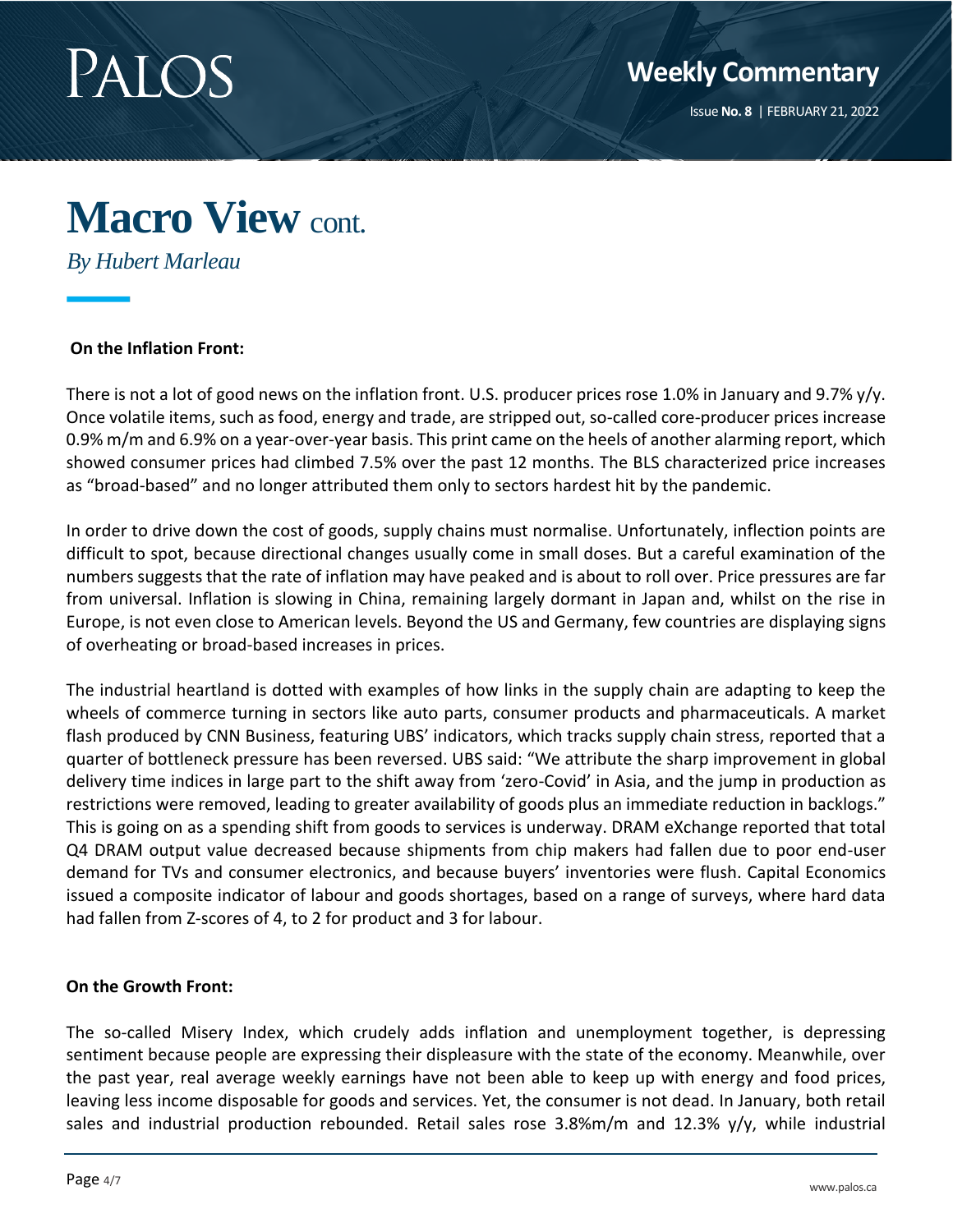

*By Hubert Marleau*

#### **On the Inflation Front:**

There is not a lot of good news on the inflation front. U.S. producer prices rose 1.0% in January and 9.7% y/y. Once volatile items, such as food, energy and trade, are stripped out, so-called core-producer prices increase 0.9% m/m and 6.9% on a year-over-year basis. This print came on the heels of another alarming report, which showed consumer prices had climbed 7.5% over the past 12 months. The BLS characterized price increases as "broad-based" and no longer attributed them only to sectors hardest hit by the pandemic.

In order to drive down the cost of goods, supply chains must normalise. Unfortunately, inflection points are difficult to spot, because directional changes usually come in small doses. But a careful examination of the numbers suggests that the rate of inflation may have peaked and is about to roll over. Price pressures are far from universal. Inflation is slowing in China, remaining largely dormant in Japan and, whilst on the rise in Europe, is not even close to American levels. Beyond the US and Germany, few countries are displaying signs of overheating or broad-based increases in prices.

The industrial heartland is dotted with examples of how links in the supply chain are adapting to keep the wheels of commerce turning in sectors like auto parts, consumer products and pharmaceuticals. A market flash produced by CNN Business, featuring UBS' indicators, which tracks supply chain stress, reported that a quarter of bottleneck pressure has been reversed. UBS said: "We attribute the sharp improvement in global delivery time indices in large part to the shift away from 'zero-Covid' in Asia, and the jump in production as restrictions were removed, leading to greater availability of goods plus an immediate reduction in backlogs." This is going on as a spending shift from goods to services is underway. DRAM eXchange reported that total Q4 DRAM output value decreased because shipments from chip makers had fallen due to poor end-user demand for TVs and consumer electronics, and because buyers' inventories were flush. Capital Economics issued a composite indicator of labour and goods shortages, based on a range of surveys, where hard data had fallen from Z-scores of 4, to 2 for product and 3 for labour.

#### **On the Growth Front:**

The so-called Misery Index, which crudely adds inflation and unemployment together, is depressing sentiment because people are expressing their displeasure with the state of the economy. Meanwhile, over the past year, real average weekly earnings have not been able to keep up with energy and food prices, leaving less income disposable for goods and services. Yet, the consumer is not dead. In January, both retail sales and industrial production rebounded. Retail sales rose 3.8%m/m and 12.3% y/y, while industrial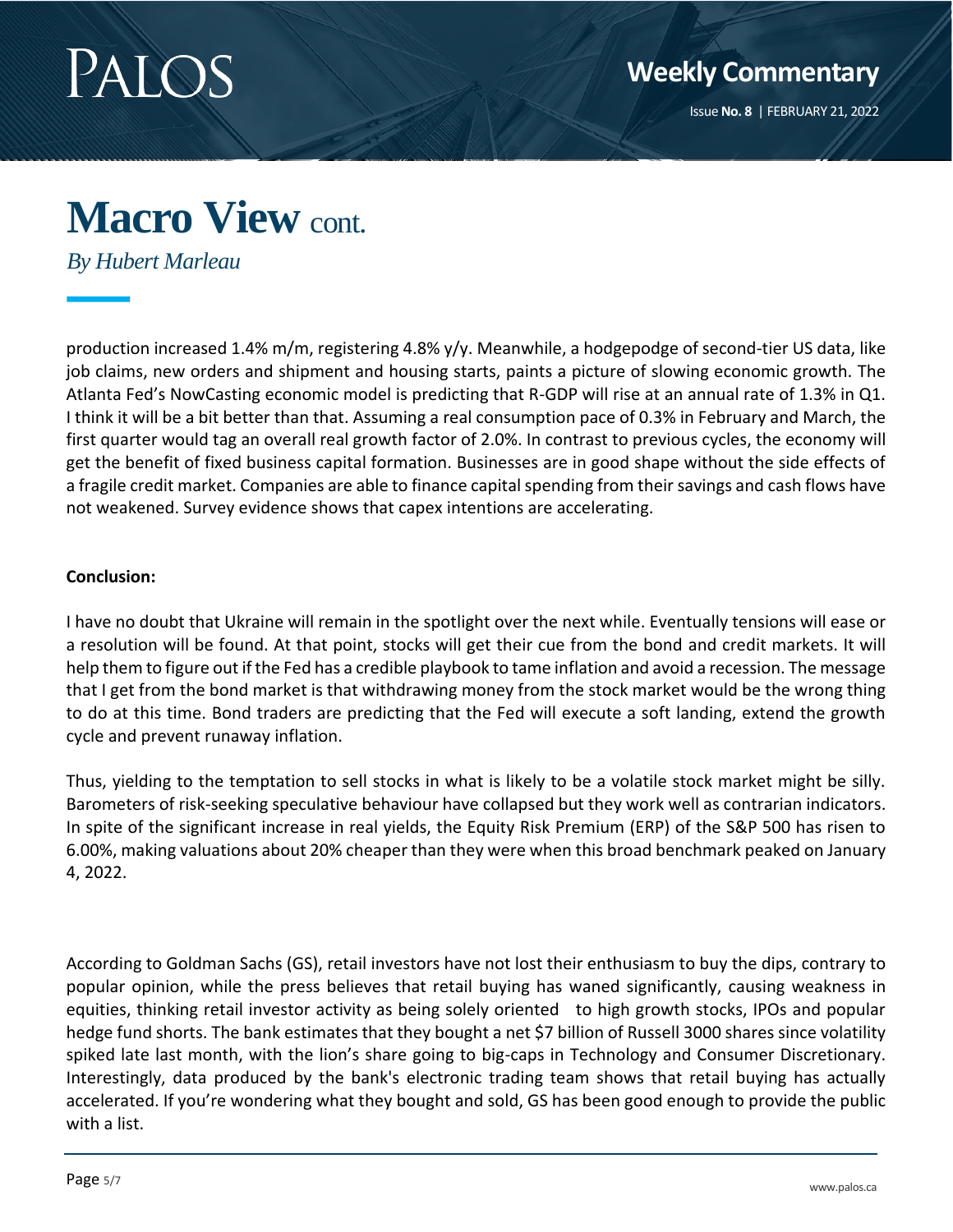

*By Hubert Marleau*

production increased 1.4% m/m, registering 4.8% y/y. Meanwhile, a hodgepodge of second-tier US data, like job claims, new orders and shipment and housing starts, paints a picture of slowing economic growth. The Atlanta Fed's NowCasting economic model is predicting that R-GDP will rise at an annual rate of 1.3% in Q1. I think it will be a bit better than that. Assuming a real consumption pace of 0.3% in February and March, the first quarter would tag an overall real growth factor of 2.0%. In contrast to previous cycles, the economy will get the benefit of fixed business capital formation. Businesses are in good shape without the side effects of a fragile credit market. Companies are able to finance capital spending from their savings and cash flows have not weakened. Survey evidence shows that capex intentions are accelerating.

#### **Conclusion:**

I have no doubt that Ukraine will remain in the spotlight over the next while. Eventually tensions will ease or a resolution will be found. At that point, stocks will get their cue from the bond and credit markets. It will help them to figure out if the Fed has a credible playbook to tame inflation and avoid a recession. The message that I get from the bond market is that withdrawing money from the stock market would be the wrong thing to do at this time. Bond traders are predicting that the Fed will execute a soft landing, extend the growth cycle and prevent runaway inflation.

Thus, yielding to the temptation to sell stocks in what is likely to be a volatile stock market might be silly. Barometers of risk-seeking speculative behaviour have collapsed but they work well as contrarian indicators. In spite of the significant increase in real yields, the Equity Risk Premium (ERP) of the S&P 500 has risen to 6.00%, making valuations about 20% cheaper than they were when this broad benchmark peaked on January 4, 2022.

According to Goldman Sachs (GS), retail investors have not lost their enthusiasm to buy the dips, contrary to popular opinion, while the press believes that retail buying has waned significantly, causing weakness in equities, thinking retail investor activity as being solely oriented to high growth stocks, IPOs and popular hedge fund shorts. The bank estimates that they bought a net \$7 billion of Russell 3000 shares since volatility spiked late last month, with the lion's share going to big-caps in Technology and Consumer Discretionary. Interestingly, data produced by the bank's electronic trading team shows that retail buying has actually accelerated. If you're wondering what they bought and sold, GS has been good enough to provide the public with a list.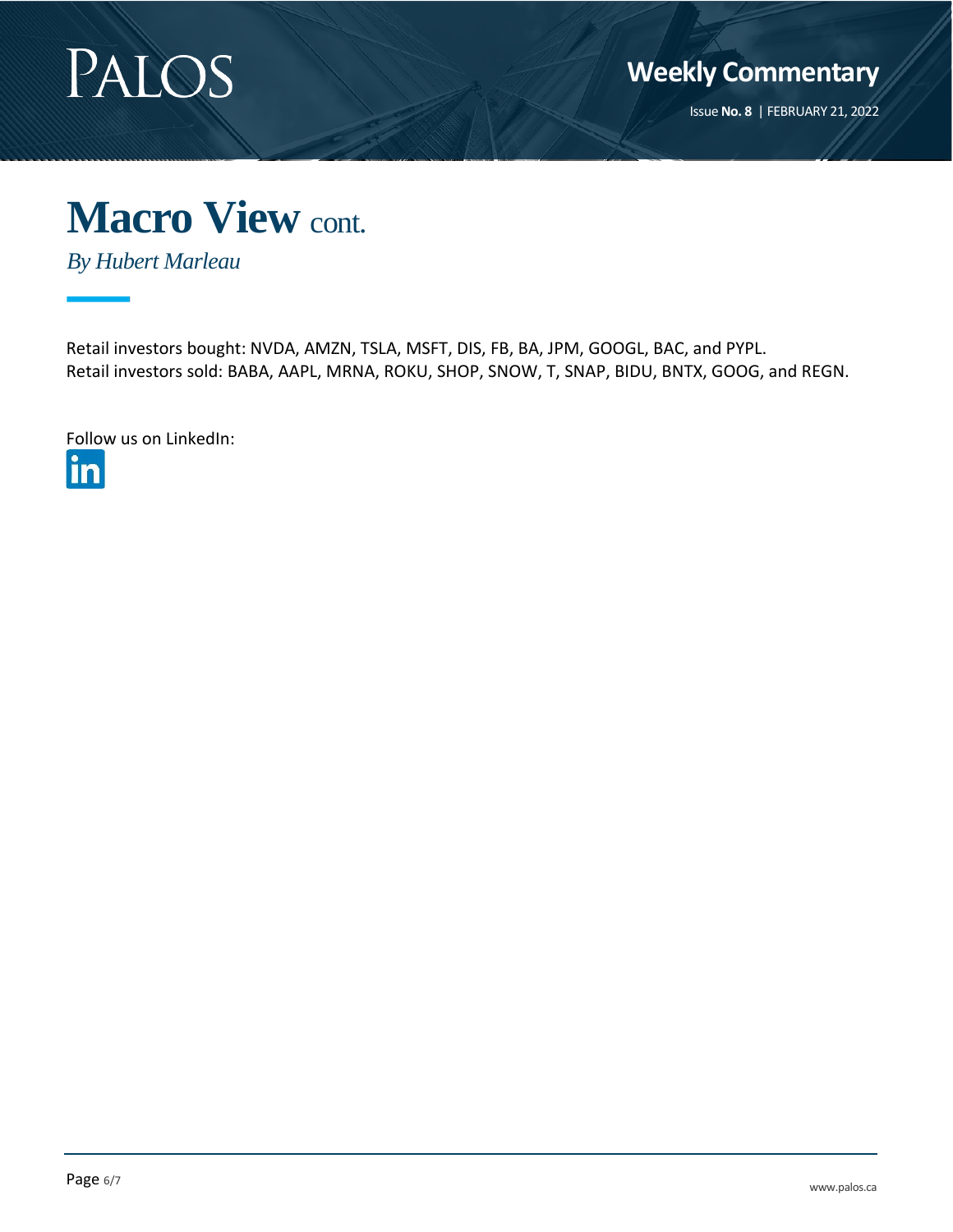

Issue **No. 8** | FEBRUARY 21, 2022



*By Hubert Marleau*

Retail investors bought: NVDA, AMZN, TSLA, MSFT, DIS, FB, BA, JPM, GOOGL, BAC, and PYPL. Retail investors sold: BABA, AAPL, MRNA, ROKU, SHOP, SNOW, T, SNAP, BIDU, BNTX, GOOG, and REGN.

Follow us on LinkedIn: